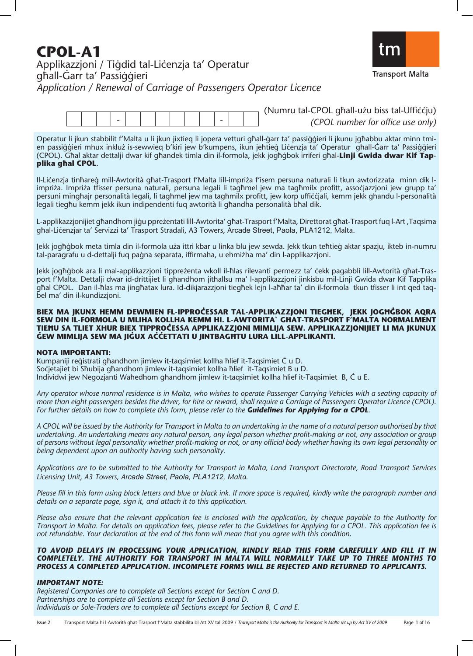# **CPOL-A1**<br>Applikazzjoni / Tiġdid tal-Liċenzja ta' Operatur ghall-Garr ta' Passiggieri Application / Renewal of Carriage of Passengers Operator Licence



| (Numru tal-CPOL ɑħall-użu biss tal-Uffiċċiu) |  |  |  |  |  |  |
|----------------------------------------------|--|--|--|--|--|--|
|                                              |  |  |  |  |  |  |
| (CPOL number for office use only)            |  |  |  |  |  |  |
|                                              |  |  |  |  |  |  |

Operatur li jkun stabbilit f'Malta u li jkun jixtieq li jopera vetturi għall-ġarr ta' passiġġieri li jkunu jgħabbu aktar minn tmien passiggieri mhux inkluż is-sewwieq b'kiri jew b'kumpens, ikun jeħtieg Licenzja ta' Operatur għall-Ġarr ta' Passiggieri (CPOL). Għal aktar dettalji dwar kif għandek timla din il-formola, jekk jogħġbok irriferi għal-**Linji Gwida dwar Kif Tapplika ghal CPOL.** 

Il-Liċenzja tinħareġ mill-Awtorità għat-Trasport f'Malta lill-impriża f'isem persuna naturali li tkun awtorizzata minn dik limpriża. Impriża tfisser persuna naturali, persuna legali li tagħmel jew ma tagħmilx profitt, assoċjazzjoni jew grupp ta' persuni mingħajr personalità legali, li tagħmel jew ma tagħmilx profitt, jew korp ufficcjali, kemm jekk għandu l-personalità legali tiegħu kemm jekk ikun indipendenti fuq awtorità li għandha personalità bħal dik.

L-applikazzjonijiet għandhom jiġu ppreżentati lill-Awtorita' għat-Trasport f'Malta, Direttorat għat-Trasport fuq l-Art ,Taqsima għal-Liċenzjar ta' Servizzi ta' Trasport Stradali, A3 Towers, Arcade Street, Paola, PLA1212, Malta.

Jekk jogħġbok meta timla din il-formola uża ittri kbar u linka blu jew sewda. Jekk tkun teħtieġ aktar spazju, ikteb in-numru tal-paragrafu u d-dettalji fuq paġna separata, iffirmaha, u ehmiżha ma' din l-applikazzjoni.

Jekk jogħġbok ara li mal-applikazzjoni tippreżenta wkoll il-ħlas rilevanti permezz ta' cekk pagabbli lill-Awtorità għat-Trasport f'Malta. Dettalji dwar id-drittijiet li għandhom jitħallsu ma' l-applikazzjoni jinkisbu mil-Linji Gwida dwar Kif Tapplika għal CPOL. Dan il-ħlas ma jingħatax lura. Id-dikjarazzjoni tiegħek lejn l-aħħar ta' din il-formola tkun tfisser li int qed taqbel ma' din il-kundizzjoni.

#### BIEX MA JKUNX HEMM DEWMIEN FL-IPPROCESSAR TAL-APPLIKAZZJONI TIEGHEK, JEKK JOGHGBOK AQRA SEW DIN IL-FORMOLA U MLIHA KOLLHA KEMM HI. L-AWTORITA` GHAT-TRASPORT F'MALTA NORMALMENT TIEHU SA TLIET XHUR BIEX TIPPROČESSA APPLIKAZZJONI MIMLIJA SEW. APPLIKAZZJONIJIET LI MA JKUNUX ĞEW MIMLIJA SEW MA JIĞUX AČČETTATI U JINTBAGHTU LURA LILL-APPLIKANTI.

#### **NOTA IMPORTANTI:**

Kumpaniji reģistrati għandhom jimlew it-taqsimiet kollha ħlief it-Taqsimiet Ċ u D. Socjetajiet bi Sħubija għandhom jimlew it-taqsimiet kollha ħlief it-Taqsimiet B u D. Individwi jew Negozjanti Waħedhom għandhom jimlew it-taqsimiet kollha ħlief it-Taqsimiet B, Ċ u E.

*Any operator whose normal residence is in Malta, who wishes to operate Passenger Carrying Vehicles with a seating capacity of more than eight passengers besides the driver, for hire or reward, shall require a Carriage of Passengers Operator Licence (CPOL). For further details on how to complete this form, please refer to the Guidelines for Applying for a CPOL.* 

*A CPOL will be issued by the Authority for Transport in Malta to an undertaking in the name of a natural person authorised by that undertaking. An undertaking means any natural person, any legal person whether profit-making or not, any association or group of persons without legal personality whether profit-making or not, or any official body whether having its own legal personality or being dependent upon an authority having such personality.* 

*Applications are to be submitted to the Authority for Transport in Malta, Land Transport Directorate, Road Transport Services Licensing Unit, A3 Towers, Arcade Street, Paola, PLA1212, Malta.*

*Please fill in this form using block letters and blue or black ink. If more space is required, kindly write the paragraph number and details on a separate page, sign it, and attach it to this application.* 

*Please also ensure that the relevant application fee is enclosed with the application, by cheque payable to the Authority for Transport in Malta. For details on application fees, please refer to the Guidelines for Applying for a CPOL. This application fee is not refundable. Your declaration at the end of this form will mean that you agree with this condition.* 

#### *TO AVOID DELAYS IN PROCESSING YOUR APPLICATION, KINDLY READ THIS FORM CAREFULLY AND FILL IT IN COMPLETELY. THE AUTHORITY FOR TRANSPORT IN MALTA WILL NORMALLY TAKE UP TO THREE MONTHS TO PROCESS A COMPLETED APPLICATION. INCOMPLETE FORMS WILL BE REJECTED AND RETURNED TO APPLICANTS.*

#### *IMPORTANT NOTE:*

*Registered Companies are to complete all Sections except for Section C and D. Partnerships are to complete all Sections except for Section B and D. Individuals or Sole-Traders are to complete all Sections except for Section B, C and E.*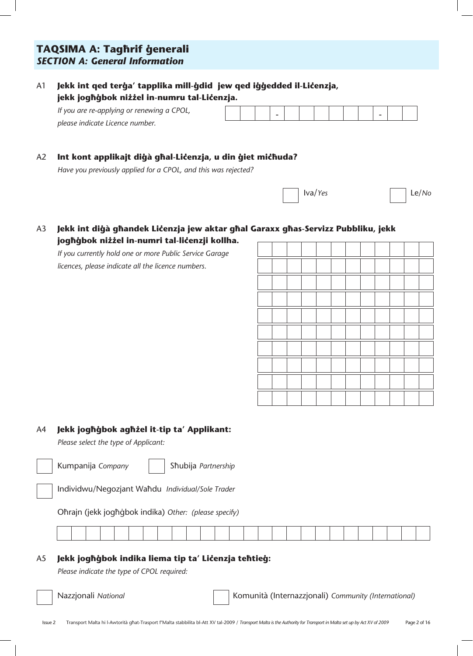# **TAQSIMA A: Taghrif generali** *SECTION A: General Information*

### A1 **Jekk int qed terġa' tapplika mill-ġdid jew qed iġġedded il-Lićenzja,** jekk jogħġbok niżżel in-numru tal-Li**ćenzja.**

| If you are re-applying or renewing a CPOL, |  | - |  |  |  |  |  |
|--------------------------------------------|--|---|--|--|--|--|--|
| please indicate Licence number.            |  |   |  |  |  |  |  |

#### A2 Int kont applikajt diġà għal-Liċenzja, u din ġiet miċħuda?

*Have you previously applied for a CPOL, and this was rejected?* 

| $\overline{\phantom{a}}$<br>$ $ Iva/Yes | the contract of the contract of the contract of<br>$\vert$ Le/No |
|-----------------------------------------|------------------------------------------------------------------|
|                                         |                                                                  |

### A3 **Jekk int diġà għandek Liċenzja jew aktar għal Garaxx għas-Servizz Pubbliku, jekk** joghġbok niżżel in-numri tal-li**ćenzji kollha.**

*If you currently hold one or more Public Service Garage licences, please indicate all the licence numbers.*

| ٠        |  |  |  |  |  |  |
|----------|--|--|--|--|--|--|
|          |  |  |  |  |  |  |
| <b>I</b> |  |  |  |  |  |  |
|          |  |  |  |  |  |  |
| J        |  |  |  |  |  |  |
|          |  |  |  |  |  |  |
|          |  |  |  |  |  |  |
|          |  |  |  |  |  |  |

#### A4 **Jekk joghgbok aghżel it-tip ta' Applikant:**

*Please select the type of Applicant:*



Kumpanija *Company* | | Sħubija *Partnership* 

Individwu/Negozjant Wa˙du *Individual/Sole Trader*

Oħrajn (jekk jogħġbok indika) Other: (please specify)

#### A5 **Jekk joghġbok indika liema tip ta' Lićenzja tehtieġ:**

*Please indicate the type of CPOL required:*

Nazzjonali *National* Komunità (Internazzjonali) *Community (International)*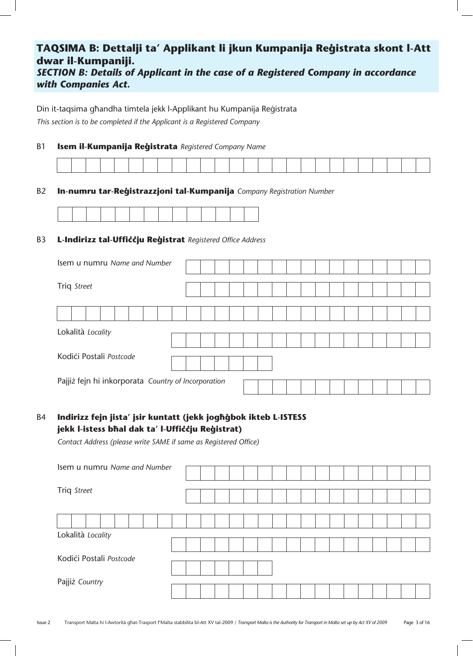# TAQSIMA B: Dettalji ta' Applikant li jkun Kumpanija Reģistrata skont l-Att **dwar il-Kumpaniji.**

*SECTION B: Details of Applicant in the case of a Registered Company in accordance with Companies Act.* 

Din it-taqsima għandha timtela jekk l-Applikant hu Kumpanija Reģistrata *This section is to be completed if the Applicant is a Registered Company* 

#### B1 **Isem il-Kumpanija Reģistrata** Registered Company Name

| the contract of the contract of the contract of | the contract of the contract of the contract of the contract of the contract of the contract of the contract of | the contract of the contract of the contract of the contract of the contract of |                                                                                 | and the contract of the contract of the contract of the contract of the contract of the contract of the contract of | the contract of the contract of the contract of the contract of the contract of | the contract of the contract of the contract of the contract of the contract of the contract of the contract of | and the contract of the contract of the contract of the contract of the contract of the contract of the contract of | the contract of the contract of the contract of the contract of the contract of |  |  | the contract of the contract of the contract of the contract of the contract of | the contract of the contract of the contract of |  |  |  |
|-------------------------------------------------|-----------------------------------------------------------------------------------------------------------------|---------------------------------------------------------------------------------|---------------------------------------------------------------------------------|---------------------------------------------------------------------------------------------------------------------|---------------------------------------------------------------------------------|-----------------------------------------------------------------------------------------------------------------|---------------------------------------------------------------------------------------------------------------------|---------------------------------------------------------------------------------|--|--|---------------------------------------------------------------------------------|-------------------------------------------------|--|--|--|
|                                                 |                                                                                                                 |                                                                                 | the contract of the contract of the contract of the contract of the contract of |                                                                                                                     |                                                                                 |                                                                                                                 |                                                                                                                     |                                                                                 |  |  | the contract of the contract of the contract of the contract of the contract of |                                                 |  |  |  |

#### B2 **In-numru tar-Reģistrazzjoni tal-Kumpanija** Company Registration Number

#### B3 **L-Indirizz tal-Uffiççju Re©istrat** *Registered Office Address*

| Isem u numru Name and Number                        |  |  |  |  |  |  |  |  |  |
|-----------------------------------------------------|--|--|--|--|--|--|--|--|--|
|                                                     |  |  |  |  |  |  |  |  |  |
|                                                     |  |  |  |  |  |  |  |  |  |
|                                                     |  |  |  |  |  |  |  |  |  |
| Triq Street                                         |  |  |  |  |  |  |  |  |  |
|                                                     |  |  |  |  |  |  |  |  |  |
|                                                     |  |  |  |  |  |  |  |  |  |
|                                                     |  |  |  |  |  |  |  |  |  |
|                                                     |  |  |  |  |  |  |  |  |  |
| Lokalità Locality                                   |  |  |  |  |  |  |  |  |  |
|                                                     |  |  |  |  |  |  |  |  |  |
|                                                     |  |  |  |  |  |  |  |  |  |
| Kodići Postali Postcode                             |  |  |  |  |  |  |  |  |  |
|                                                     |  |  |  |  |  |  |  |  |  |
|                                                     |  |  |  |  |  |  |  |  |  |
| Pajjiż fejn hi inkorporata Country of Incorporation |  |  |  |  |  |  |  |  |  |
|                                                     |  |  |  |  |  |  |  |  |  |

### B4 **Indirizz fejn jista' jsir kuntatt (jekk joghgbok ikteb L-ISTESS** jekk l-istess bħal dak ta' l-Uffiċċju Reġistrat)

*Contact Address (please write SAME if same as Registered Office)* 

| Isem u numru Name and Number |  |  |  |  |  |  |  |  |  |
|------------------------------|--|--|--|--|--|--|--|--|--|
|                              |  |  |  |  |  |  |  |  |  |
| Triq Street                  |  |  |  |  |  |  |  |  |  |
|                              |  |  |  |  |  |  |  |  |  |
|                              |  |  |  |  |  |  |  |  |  |
| Lokalità Locality            |  |  |  |  |  |  |  |  |  |
|                              |  |  |  |  |  |  |  |  |  |
| Kodići Postali Postcode      |  |  |  |  |  |  |  |  |  |
|                              |  |  |  |  |  |  |  |  |  |
| Pajjiż Country               |  |  |  |  |  |  |  |  |  |
|                              |  |  |  |  |  |  |  |  |  |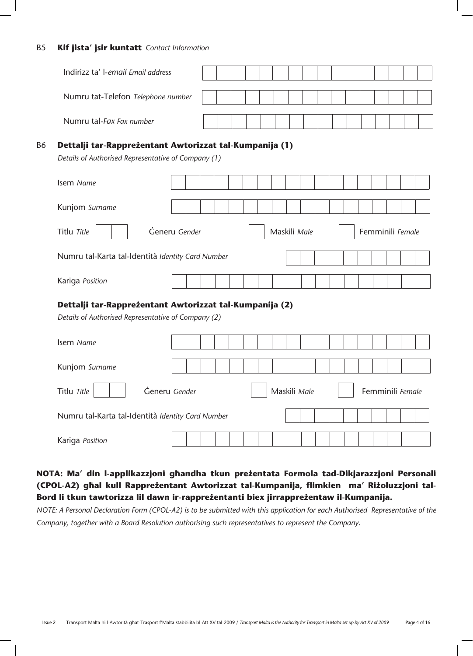#### B5 **Kif jista' jsir kuntatt** *Contact Information*

|           | Indirizz ta' l-email Email address                                                                             |  |  |  |              |  |  |  |  |                  |  |
|-----------|----------------------------------------------------------------------------------------------------------------|--|--|--|--------------|--|--|--|--|------------------|--|
|           | Numru tat-Telefon Telephone number                                                                             |  |  |  |              |  |  |  |  |                  |  |
|           | Numru tal-Fax Fax number                                                                                       |  |  |  |              |  |  |  |  |                  |  |
| <b>B6</b> | Dettalji tar-Rappreżentant Awtorizzat tal-Kumpanija (1)<br>Details of Authorised Representative of Company (1) |  |  |  |              |  |  |  |  |                  |  |
|           | Isem Name                                                                                                      |  |  |  |              |  |  |  |  |                  |  |
|           | Kunjom Surname                                                                                                 |  |  |  |              |  |  |  |  |                  |  |
|           | Generu Gender<br>Titlu Title                                                                                   |  |  |  | Maskili Male |  |  |  |  | Femminili Female |  |
|           | Numru tal-Karta tal-Identità Identity Card Number                                                              |  |  |  |              |  |  |  |  |                  |  |
|           | Kariga Position                                                                                                |  |  |  |              |  |  |  |  |                  |  |
|           | Dettalji tar-Rappreżentant Awtorizzat tal-Kumpanija (2)<br>Details of Authorised Representative of Company (2) |  |  |  |              |  |  |  |  |                  |  |
|           | Isem Name                                                                                                      |  |  |  |              |  |  |  |  |                  |  |
|           | Kunjom Surname                                                                                                 |  |  |  |              |  |  |  |  |                  |  |
|           | Generu Gender<br>Titlu Title                                                                                   |  |  |  | Maskili Male |  |  |  |  | Femminili Female |  |
|           | Numru tal-Karta tal-Identità Identity Card Number                                                              |  |  |  |              |  |  |  |  |                  |  |
|           | Kariga Position                                                                                                |  |  |  |              |  |  |  |  |                  |  |

# NOTA: Ma' din l-applikazzjoni għandha tkun preżentata Formola tad-Dikjarazzjoni Personali (CPOL-A2) għal kull Rappreżentant Awtorizzat tal-Kumpanija, flimkien ma' Riżoluzzjoni tal-Bord li tkun tawtorizza lil dawn ir-rappreżentanti biex jirrappreżentaw il-Kumpanija.

*NOTE: A Personal Declaration Form (CPOL-A2) is to be submitted with this application for each Authorised Representative of the Company, together with a Board Resolution authorising such representatives to represent the Company.*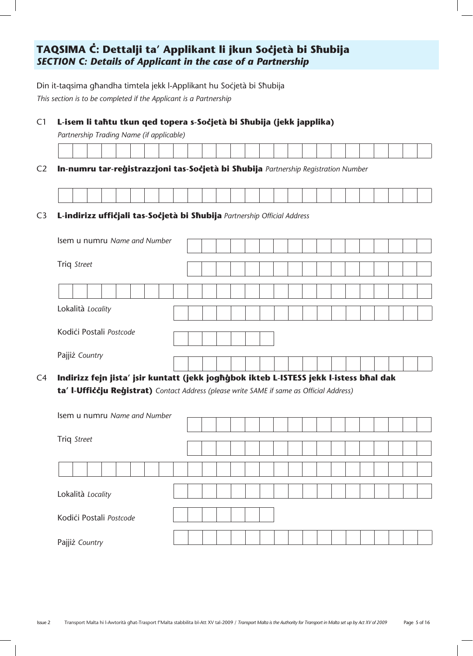# TAQSIMA Ċ: Dettalji ta' Applikant li jkun Soċjetà bi Sħubija *SECTION C: Details of Applicant in the case of a Partnership*

Din it-taqsima għandha timtela jekk l-Applikant hu Soċjetà bi Sħubija

*This section is to be completed if the Applicant is a Partnership*

C1 **L-isem li tahtu tkun qed topera s-Soċjetà bi Shubija (jekk japplika)** 

*Partnership Trading Name (if applicable)*

| the contract of the contract of the contract of the contract of the contract of the contract of the contract of<br>the contract of the contract of the contract of the contract of the contract of | the contract of the contract of the contract of the contract of the contract of the contract of the contract of |  |
|----------------------------------------------------------------------------------------------------------------------------------------------------------------------------------------------------|-----------------------------------------------------------------------------------------------------------------|--|

C2 **In-numru tar-reģistrazzjoni tas-Soćjetà bi Sħubija** Partnership Registration Number

| the contract of the contract of the contract of the contract of the contract of |  |  |  |  |  |  |  |  |  |  | the contract of the contract of the contract of the contract of the contract of the contract of the contract of |  |  |
|---------------------------------------------------------------------------------|--|--|--|--|--|--|--|--|--|--|-----------------------------------------------------------------------------------------------------------------|--|--|

#### C3 L-indirizz ufficjali tas-Socjetà bi Shubija Partnership Official Address

| Isem u numru Name and Number |  |  |  |  |  |  |  |  |  |
|------------------------------|--|--|--|--|--|--|--|--|--|
|                              |  |  |  |  |  |  |  |  |  |
| Triq Street                  |  |  |  |  |  |  |  |  |  |
|                              |  |  |  |  |  |  |  |  |  |
|                              |  |  |  |  |  |  |  |  |  |
|                              |  |  |  |  |  |  |  |  |  |
|                              |  |  |  |  |  |  |  |  |  |
|                              |  |  |  |  |  |  |  |  |  |
| Lokalità Locality            |  |  |  |  |  |  |  |  |  |
|                              |  |  |  |  |  |  |  |  |  |
| Kodići Postali Postcode      |  |  |  |  |  |  |  |  |  |
|                              |  |  |  |  |  |  |  |  |  |
|                              |  |  |  |  |  |  |  |  |  |
| Pajjiż Country               |  |  |  |  |  |  |  |  |  |
|                              |  |  |  |  |  |  |  |  |  |
|                              |  |  |  |  |  |  |  |  |  |

C4 **Indirizz fejn jista' jsir kuntatt (jekk jogħġbok ikteb L-ISTESS jekk l-istess bħal dak ta' I-Ufficcju Reġistrat)** Contact Address (please write SAME if same as Official Address)

| Isem u numru Name and Number        |  |
|-------------------------------------|--|
|                                     |  |
| Triq Street                         |  |
|                                     |  |
|                                     |  |
|                                     |  |
|                                     |  |
|                                     |  |
|                                     |  |
| Kodići Postali Postcode             |  |
|                                     |  |
|                                     |  |
| Lokalità Locality<br>Pajjiż Country |  |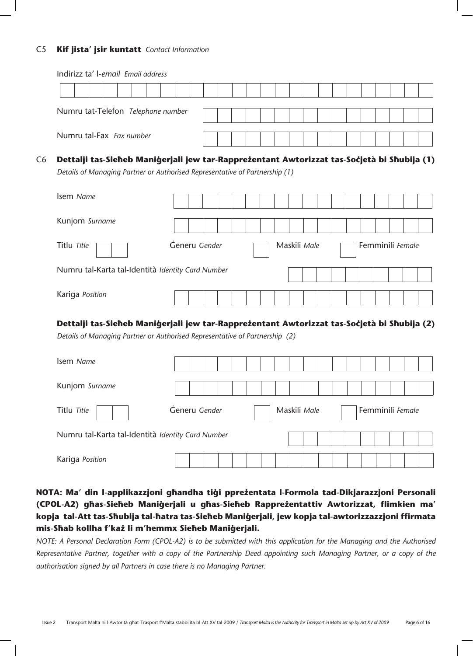#### C5 **Kif jista' jsir kuntatt** *Contact Information*

Kariga *Position*

|                                                                                                                           | Indirizz ta' l-email Email address |  |  |              |  |                  |  |  |
|---------------------------------------------------------------------------------------------------------------------------|------------------------------------|--|--|--------------|--|------------------|--|--|
|                                                                                                                           |                                    |  |  |              |  |                  |  |  |
| Numru tat-Telefon Telephone number                                                                                        |                                    |  |  |              |  |                  |  |  |
| Numru tal-Fax Fax number                                                                                                  |                                    |  |  |              |  |                  |  |  |
| Dettalji tas-Sieheb Maniģerjali jew tar-Rappreżentant Awtorizzat tas-Socjetà bi Shubija (1)                               |                                    |  |  |              |  |                  |  |  |
| Details of Managing Partner or Authorised Representative of Partnership (1)                                               |                                    |  |  |              |  |                  |  |  |
| Isem Name                                                                                                                 |                                    |  |  |              |  |                  |  |  |
| Kunjom Surname                                                                                                            |                                    |  |  |              |  |                  |  |  |
| Titlu Title                                                                                                               | Generu Gender                      |  |  | Maskili Male |  | Femminili Female |  |  |
| Numru tal-Karta tal-Identità Identity Card Number                                                                         |                                    |  |  |              |  |                  |  |  |
| Kariga Position                                                                                                           |                                    |  |  |              |  |                  |  |  |
|                                                                                                                           |                                    |  |  |              |  |                  |  |  |
| Dettalji tas-Sieheb Maniģerjali jew tar-Rappreżentant Awtorizzat tas-Socjetà bi Shubija (2)                               |                                    |  |  |              |  |                  |  |  |
|                                                                                                                           |                                    |  |  |              |  |                  |  |  |
|                                                                                                                           |                                    |  |  |              |  |                  |  |  |
|                                                                                                                           |                                    |  |  |              |  |                  |  |  |
| Details of Managing Partner or Authorised Representative of Partnership (2)<br>Isem Name<br>Kunjom Surname<br>Titlu Title | Generu Gender                      |  |  | Maskili Male |  | Femminili Female |  |  |

NOTA: Ma' din l-applikazzjoni għandha tiġi ppreżentata l-Formola tad-Dikjarazzjoni Personali (CPOL-A2) għas-Sieħeb Maniġerjali u għas-Sieħeb Rappreżentattiv Awtorizzat, flimkien ma' kopja tal-Att tas-Sħubija tal-ħatra tas-Sieħeb Maniġerjali, jew kopja tal-awtorizzazzjoni ffirmata mis-Shab kollha f'każ li m'hemmx Sieheb Manigerjali.

*NOTE: A Personal Declaration Form (CPOL-A2) is to be submitted with this application for the Managing and the Authorised Representative Partner, together with a copy of the Partnership Deed appointing such Managing Partner, or a copy of the authorisation signed by all Partners in case there is no Managing Partner.*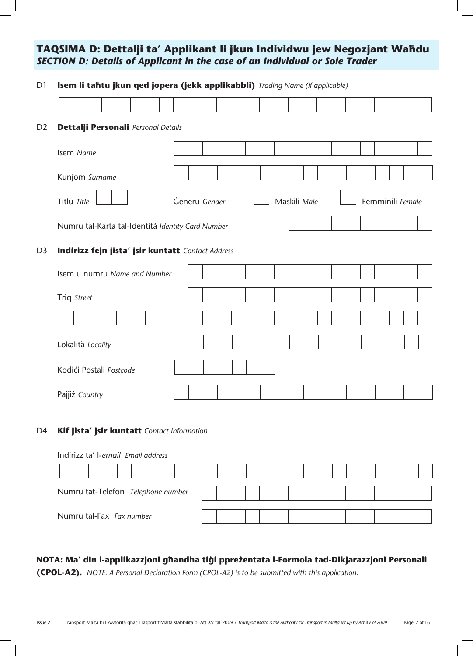# TAQSIMA D: Dettalji ta' Applikant li jkun Individwu jew Negozjant Waħdu *SECTION D: Details of Applicant in the case of an Individual or Sole Trader*

| Isem li tahtu jkun qed jopera (jekk applikabbli) Trading Name (if applicable) |               |  |  |  |              |  |  |  |                  |  |
|-------------------------------------------------------------------------------|---------------|--|--|--|--------------|--|--|--|------------------|--|
|                                                                               |               |  |  |  |              |  |  |  |                  |  |
| Dettalji Personali Personal Details<br>D <sub>2</sub>                         |               |  |  |  |              |  |  |  |                  |  |
| Isem Name                                                                     |               |  |  |  |              |  |  |  |                  |  |
| Kunjom Surname                                                                |               |  |  |  |              |  |  |  |                  |  |
| Titlu Title                                                                   | Generu Gender |  |  |  | Maskili Male |  |  |  | Femminili Female |  |
| Numru tal-Karta tal-Identità Identity Card Number                             |               |  |  |  |              |  |  |  |                  |  |
| Indirizz fejn jista' jsir kuntatt Contact Address<br>D <sub>3</sub>           |               |  |  |  |              |  |  |  |                  |  |
| Isem u numru Name and Number                                                  |               |  |  |  |              |  |  |  |                  |  |
| Triq Street                                                                   |               |  |  |  |              |  |  |  |                  |  |
|                                                                               |               |  |  |  |              |  |  |  |                  |  |
| Lokalità Locality                                                             |               |  |  |  |              |  |  |  |                  |  |
|                                                                               |               |  |  |  |              |  |  |  |                  |  |
| Kodići Postali Postcode                                                       |               |  |  |  |              |  |  |  |                  |  |

#### D4 **Kif jista' jsir kuntatt** *Contact Information*

| Indirizz ta' l-email Email address |                                                                |  |  |  |  |  |  |  |  |  |  |  |  |  |  |  |  |
|------------------------------------|----------------------------------------------------------------|--|--|--|--|--|--|--|--|--|--|--|--|--|--|--|--|
|                                    |                                                                |  |  |  |  |  |  |  |  |  |  |  |  |  |  |  |  |
|                                    |                                                                |  |  |  |  |  |  |  |  |  |  |  |  |  |  |  |  |
|                                    | Numru tat-Telefon Telephone number<br>Numru tal-Fax Fax number |  |  |  |  |  |  |  |  |  |  |  |  |  |  |  |  |

# NOTA: Ma' din l-applikazzjoni għandha tiġi ppreżentata l-Formola tad-Dikjarazzjoni Personali

**(CPOL-A2).** *NOTE: A Personal Declaration Form (CPOL-A2) is to be submitted with this application.*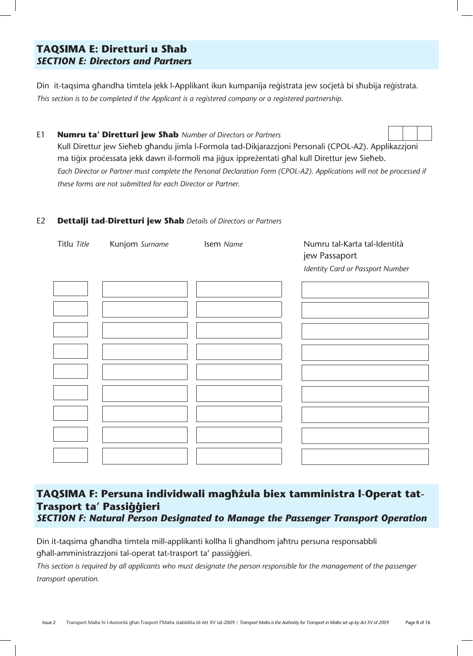# **TAQSIMA E: Diretturi u Shab** *SECTION E: Directors and Partners*

Din it-taqsima għandha timtela jekk l-Applikant ikun kumpanija reģistrata jew soċjetà bi sħubija reģistrata. *This section is to be completed if the Applicant is a registered company or a registered partnership.*

E1 **Numru ta' Diretturi jew Shab** Number of Directors or Partners Kull Direttur jew Sieħeb għandu jimla l-Formola tad-Dikjarazzjoni Personali (CPOL-A2). Applikazzjoni ma tiģix processata jekk dawn il-formoli ma jiģux ippreżentati għal kull Direttur jew Sieħeb. *Each Director or Partner must complete the Personal Declaration Form (CPOL-A2). Applications will not be processed if these forms are not submitted for each Director or Partner.*

#### E2 **Dettalji tad-Diretturi jew Shab** Details of Directors or Partners



# TAQSIMA F: Persuna individwali magħżula biex tamministra l-Operat tat-**Trasport ta' Passi©©ieri**  *SECTION F: Natural Person Designated to Manage the Passenger Transport Operation*

Din it-taqsima għandha timtela mill-applikanti kollha li għandhom jaħtru persuna responsabbli għall-amministrazzjoni tal-operat tat-trasport ta' passiqqieri.

*This section is required by all applicants who must designate the person responsible for the management of the passenger transport operation.*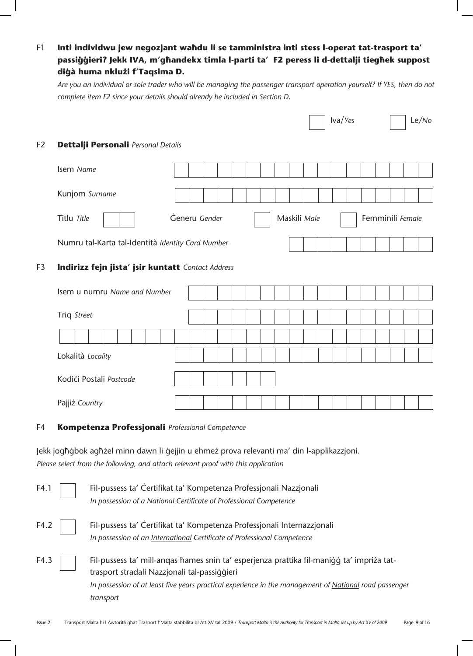# F1 **Inti individwu jew negozjant wahdu li se tamministra inti stess l-operat tat-trasport ta'** passiģģieri? Jekk IVA, m'għandekx timla l-parti ta' F2 peress li d-dettalji tiegħek suppost **di©à huma nkluΩi f'Taqsima D.**

*Are you an individual or sole trader who will be managing the passenger transport operation yourself? If YES, then do not complete item F2 since your details should already be included in Section D.*

|                |                                                   |               |  |  |  |              |  | Iva/Yes |  |                  | Le/No |
|----------------|---------------------------------------------------|---------------|--|--|--|--------------|--|---------|--|------------------|-------|
| F <sub>2</sub> | Dettalji Personali Personal Details               |               |  |  |  |              |  |         |  |                  |       |
|                | Isem Name                                         |               |  |  |  |              |  |         |  |                  |       |
|                | Kunjom Surname                                    |               |  |  |  |              |  |         |  |                  |       |
|                | Titlu Title                                       | Generu Gender |  |  |  | Maskili Male |  |         |  | Femminili Female |       |
|                | Numru tal-Karta tal-Identità Identity Card Number |               |  |  |  |              |  |         |  |                  |       |
| F3             | Indirizz fejn jista' jsir kuntatt Contact Address |               |  |  |  |              |  |         |  |                  |       |
|                | Isem u numru Name and Number                      |               |  |  |  |              |  |         |  |                  |       |
|                | Triq Street                                       |               |  |  |  |              |  |         |  |                  |       |
|                |                                                   |               |  |  |  |              |  |         |  |                  |       |
|                | Lokalità Locality                                 |               |  |  |  |              |  |         |  |                  |       |
|                | Kodići Postali Postcode                           |               |  |  |  |              |  |         |  |                  |       |
|                | Pajjiż Country                                    |               |  |  |  |              |  |         |  |                  |       |
|                |                                                   |               |  |  |  |              |  |         |  |                  |       |

#### F4 **Kompetenza Professjonali** *Professional Competence*

Jekk jogħġbok agħżel minn dawn li ġejjin u ehmeż prova relevanti ma' din l-applikazzjoni. *Please select from the following, and attach relevant proof with this application* 

| F4.1 | Fil-pussess ta' Certifikat ta' Kompetenza Professjonali Nazzjonali                                     |
|------|--------------------------------------------------------------------------------------------------------|
|      | In possession of a National Certificate of Professional Competence                                     |
| F4.2 | Fil-pussess ta' Certifikat ta' Kompetenza Professionali Internazzionali                                |
|      | In possession of an International Certificate of Professional Competence                               |
| F4.3 | Fil-pussess ta' mill-angas hames snin ta' esperjenza prattika fil-manigg ta' impriza tat-              |
|      | trasport stradali Nazzjonali tal-passiggieri                                                           |
|      | In possession of at least five years practical experience in the management of National road passenger |
|      | transport                                                                                              |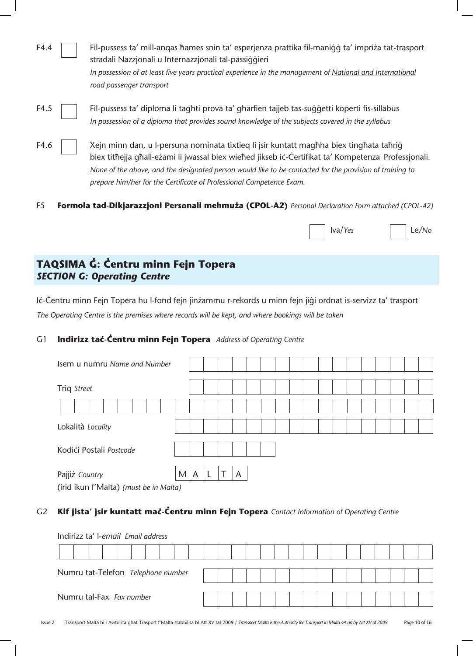| F4.4 | Fil-pussess ta' mill-angas hames snin ta' esperjenza prattika fil-manigg ta' impriza tat-trasport<br>stradali Nazzjonali u Internazzjonali tal-passiggieri<br>In possession of at least five years practical experience in the management of National and International<br>road passenger transport |
|------|-----------------------------------------------------------------------------------------------------------------------------------------------------------------------------------------------------------------------------------------------------------------------------------------------------|
| F4.5 | Fil-pussess ta' diploma li taghti prova ta' gharfien tajjeb tas-suggetti koperti fis-sillabus<br>In possession of a diploma that provides sound knowledge of the subjects covered in the syllabus                                                                                                   |
| F4.6 | Xejn minn dan, u l-persuna nominata tixtieq li jsir kuntatt maghha biex tinghata tahrig<br>biex tithejja ghall-eżami li jwassal biex wiehed jikseb ić-Ćertifikat ta' Kompetenza Professjonali.                                                                                                      |

F5 **Formola tad-Dikjarazzjoni Personali mehmuża (CPOL-A2)** Personal Declaration Form attached (CPOL-A2)

 *prepare him/her for the Certificate of Professional Competence Exam.*

 *None of the above, and the designated person would like to be contacted for the provision of training to* 

| $\overline{a}$<br>Iva/Yes | Le/No |
|---------------------------|-------|
|---------------------------|-------|

# **TAQSIMA Ì: Çentru minn Fejn Topera**  *SECTION G: Operating Centre*

Iċ-Ċentru minn Fejn Topera hu l-fond fejn jinżammu r-rekords u minn fejn jiġi ordnat is-servizz ta' trasport *The Operating Centre is the premises where records will be kept, and where bookings will be taken*

### G1 **Indirizz taç-Çentru minn Fejn Topera** *Address of Operating Centre*

| Isem u numru Name and Number                                                                                        |        |  |   |  |  |  |  |  |  |  |
|---------------------------------------------------------------------------------------------------------------------|--------|--|---|--|--|--|--|--|--|--|
| Triq Street                                                                                                         |        |  |   |  |  |  |  |  |  |  |
|                                                                                                                     |        |  |   |  |  |  |  |  |  |  |
| Lokalità Locality                                                                                                   |        |  |   |  |  |  |  |  |  |  |
| Kodići Postali Postcode                                                                                             |        |  |   |  |  |  |  |  |  |  |
| Pajjiż Country<br>$\ell$ in all lines $f(A \cap A = A \cap \ell)$ , $\ell$ is contributed to $A \cup A \cup \ell$ . | M<br>Α |  | A |  |  |  |  |  |  |  |

(irid ikun f'Malta) *(must be in Malta)*

#### G2 **Kif jista' jsir kuntatt maç-Çentru minn Fejn Topera** *Contact Information of Operating Centre*

| Indirizz ta' l-email Email address |  |  |  |  |  |  |  |  |  |  |  |  |  |  |  |  |  |  |  |  |  |  |  |  |  |  |  |  |  |  |
|------------------------------------|--|--|--|--|--|--|--|--|--|--|--|--|--|--|--|--|--|--|--|--|--|--|--|--|--|--|--|--|--|--|
|                                    |  |  |  |  |  |  |  |  |  |  |  |  |  |  |  |  |  |  |  |  |  |  |  |  |  |  |  |  |  |  |
| Numru tat-Telefon Telephone number |  |  |  |  |  |  |  |  |  |  |  |  |  |  |  |  |  |  |  |  |  |  |  |  |  |  |  |  |  |  |
| Numru tal-Fax Fax number           |  |  |  |  |  |  |  |  |  |  |  |  |  |  |  |  |  |  |  |  |  |  |  |  |  |  |  |  |  |  |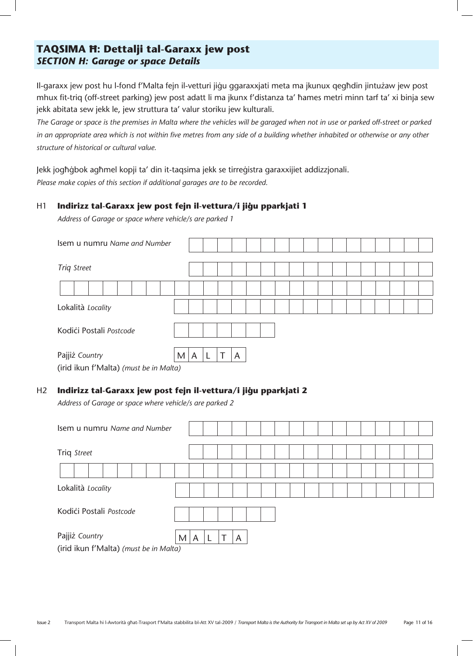# **TAQSIMA H: Dettalji tal-Garaxx jew post** *SECTION H: Garage or space Details*

Il-garaxx jew post hu l-fond f'Malta fejn il-vetturi jiġu ggaraxxjati meta ma jkunux qegħdin jintużaw jew post mhux fit-triq (off-street parking) jew post adatt li ma jkunx f'distanza ta' ħames metri minn tarf ta' xi binja sew jekk abitata sew jekk le, jew struttura ta' valur storiku jew kulturali.

The Garage or space is the premises in Malta where the vehicles will be garaged when not in use or parked off-street or parked *in an appropriate area which is not within five metres from any side of a building whether inhabited or otherwise or any other structure of historical or cultural value.*

Jekk jogħġbok agħmel kopji ta' din it-taqsima jekk se tirreġistra garaxxijiet addizzjonali. *Please make copies of this section if additional garages are to be recorded.*

#### H1 **Indirizz tal-Garaxx jew post fejn il-vettura/i jiġu pparkjati 1**

*Address of Garage or space where vehicle/s are parked 1*

| Isem u numru Name and Number           |   |   |  |   |  |  |  |  |  |  |  |
|----------------------------------------|---|---|--|---|--|--|--|--|--|--|--|
| <b>Triq Street</b>                     |   |   |  |   |  |  |  |  |  |  |  |
|                                        |   |   |  |   |  |  |  |  |  |  |  |
| Lokalità Locality                      |   |   |  |   |  |  |  |  |  |  |  |
| Kodići Postali Postcode                |   |   |  |   |  |  |  |  |  |  |  |
| Pajjiż Country                         | M | A |  | A |  |  |  |  |  |  |  |
| (irid ikun f'Malta) (must be in Malta) |   |   |  |   |  |  |  |  |  |  |  |

#### H<sub>2</sub> Indirizz tal-Garaxx jew post fejn il-vettura/i jiġu pparkjati 2

*Address of Garage or space where vehicle/s are parked 2*

| Isem u numru Name and Number           |        |  |   |  |  |  |  |  |  |  |
|----------------------------------------|--------|--|---|--|--|--|--|--|--|--|
| Triq Street                            |        |  |   |  |  |  |  |  |  |  |
|                                        |        |  |   |  |  |  |  |  |  |  |
| Lokalità Locality                      |        |  |   |  |  |  |  |  |  |  |
| Kodići Postali Postcode                |        |  |   |  |  |  |  |  |  |  |
| Pajjiż Country                         | M<br>A |  | A |  |  |  |  |  |  |  |
| (irid ikun f'Malta) (must be in Malta) |        |  |   |  |  |  |  |  |  |  |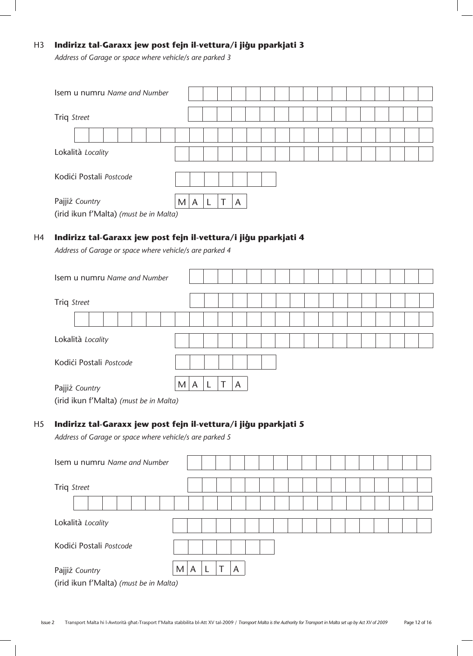### H3 **Indirizz tal-Garaxx jew post fejn il-vettura/i jiġu pparkjati 3**

*Address of Garage or space where vehicle/s are parked 3*

| Isem u numru Name and Number                             |                          |
|----------------------------------------------------------|--------------------------|
| Triq Street                                              |                          |
|                                                          |                          |
| Lokalità Locality                                        |                          |
| Kodići Postali Postcode                                  |                          |
| Pajjiż Country<br>(irid ikun f'Malta) (must be in Malta) | $\overline{A}$<br>M<br>A |

#### H4 **Indirizz tal-Garaxx jew post fejn il-vettura/i jiğu pparkjati 4**

*Address of Garage or space where vehicle/s are parked 4*

| Isem u numru Name and Number                                                                                                           |             |  |  |
|----------------------------------------------------------------------------------------------------------------------------------------|-------------|--|--|
| Triq Street                                                                                                                            |             |  |  |
|                                                                                                                                        |             |  |  |
| Lokalità Locality                                                                                                                      |             |  |  |
| Kodići Postali Postcode                                                                                                                |             |  |  |
| M<br>Pajjiż Country<br>the contract of the contract of the contract of the contract of the contract of the contract of the contract of | ᅮ<br>A<br>A |  |  |

(irid ikun f'Malta) *(must be in Malta)*

#### H5 **Indirizz tal-Garaxx jew post fejn il-vettura/i jiġu pparkjati 5**

*Address of Garage or space where vehicle/s are parked 5*

| Isem u numru Name and Number                             |   |  |   |  |  |  |  |  |  |  |  |
|----------------------------------------------------------|---|--|---|--|--|--|--|--|--|--|--|
| Triq Street                                              |   |  |   |  |  |  |  |  |  |  |  |
|                                                          |   |  |   |  |  |  |  |  |  |  |  |
| Lokalità Locality                                        |   |  |   |  |  |  |  |  |  |  |  |
| Kodići Postali Postcode                                  |   |  |   |  |  |  |  |  |  |  |  |
| Pajjiż Country<br>(irid ikun f'Malta) (must be in Malta) | A |  | A |  |  |  |  |  |  |  |  |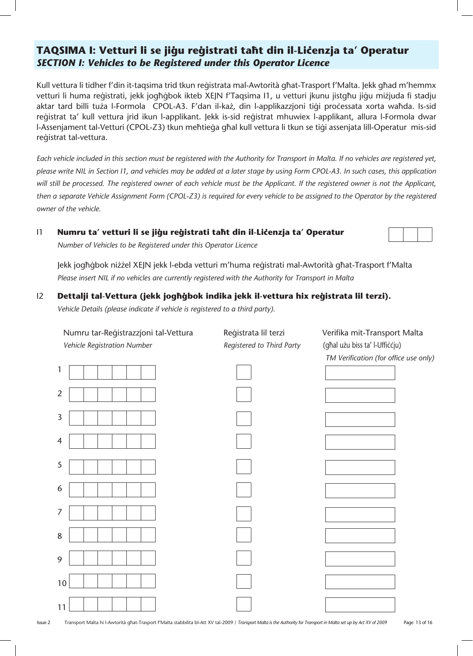# TAQSIMA I: Vetturi li se jiğu reğistrati taħt din il-Lićenzja ta' Operatur *SECTION I: Vehicles to be Registered under this Operator Licence*

Kull vettura li tidher f'din it-taqsima trid tkun reģistrata mal-Awtorità għat-Trasport f'Malta. Jekk għad m'hemmx vetturi li huma reģistrati, jekk jogħġbok ikteb XEJN f'Taqsima I1, u vetturi jkunu jistgħu jiġu miżjuda fi stadju aktar tard billi tuża l-Formola CPOL-A3. F'dan il-każ, din l-applikazzjoni tiqi processata xorta waħda. Is-sid reģistrat ta' kull vettura jrid ikun l-applikant. Jekk is-sid reģistrat mhuwiex l-applikant, allura l-Formola dwar l-Assenjament tal-Vetturi (CPOL-Z3) tkun meħtieġa għal kull vettura li tkun se tiġi assenjata lill-Operatur mis-sid reqistrat tal-vettura.

*Each vehicle included in this section must be registered with the Authority for Transport in Malta. If no vehicles are registered yet, please write NIL in Section I1, and vehicles may be added at a later stage by using Form CPOL-A3. In such cases, this application will still be processed. The registered owner of each vehicle must be the Applicant. If the registered owner is not the Applicant, then a separate Vehicle Assignment Form (CPOL-Z3) is required for every vehicle to be assigned to the Operator by the registered owner of the vehicle.* 

#### I1 **Numru ta' vetturi li se jiğu reğistrati taht din il-Lićenzja ta' Operatur**

*Number of Vehicles to be Registered under this Operator Licence*

Jekk jogħġbok niżżel XEJN jekk l-ebda vetturi m'huma reġistrati mal-Awtorità għat-Trasport f'Malta *Please insert NIL if no vehicles are currently registered with the Authority for Transport in Malta*

#### I2 **Dettalji tal-Vettura (jekk joghgbok indika jekk il-vettura hix registrata lil terzi).**

*Vehicle Details (please indicate if vehicle is registered to a third party).*

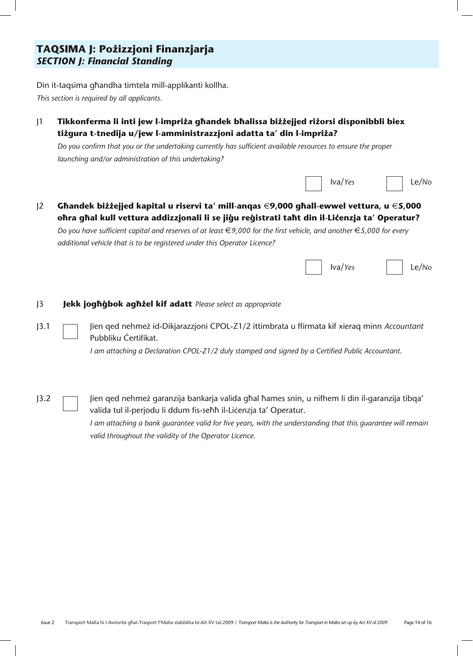# **TAQSIMA J: Pożizzjoni Finanzjarja** *SECTION J: Financial Standing*

Din it-taqsima qhandha timtela mill-applikanti kollha. *This section is required by all applicants.* 

J1 **Tikkonferma li inti jew l-impriΩa g˙andek b˙alissa biΩΩejjed riΩorsi disponibbli biex**  tiżgura t-tnedija u/jew l-amministrazzjoni adatta ta' din l-impriża?

*Do you confirm that you or the undertaking currently has sufficient available resources to ensure the proper launching and/or administration of this undertaking?*



### J2 **G˙andek biΩΩejjed kapital u riservi ta' mill-anqas** €**9,000 g˙all-ewwel vettura, u** €**5,000**  ohra ghal kull vettura addizzjonali li se jiğu reğistrati taht din il-Lićenzja ta' Operatur?

*Do you have sufficient capital and reserves of at least €9,000 for the first vehicle, and another €5,000 for every additional vehicle that is to be registered under this Operator Licence?*

|  | $\Box$ Iva/Yes | $\Box$ Le/No |
|--|----------------|--------------|
|  |                |              |

#### **J3 Jekk jogħġbok agħżel kif adatt** *Please select as appropriate*

J3.1 **Jien qed nehmez id-Dikjarazzjoni CPOL-Z1/2** ittimbrata u ffirmata kif xieraq minn *Accountant* Pubbliku Certifikat.

 *I am attaching a Declaration CPOL-Z1/2 duly stamped and signed by a Certified Public Accountant.*

J3.2 Jien qed nehmez garanzija bankarja valida għal ħames snin, u nifhem li din il-garanzija tibqa' valida tul il-perjodu li ddum fis-seħħ il-Liċenzja ta' Operatur.

> *I am attaching a bank guarantee valid for five years, with the understanding that this guarantee will remain valid throughout the validity of the Operator Licence.*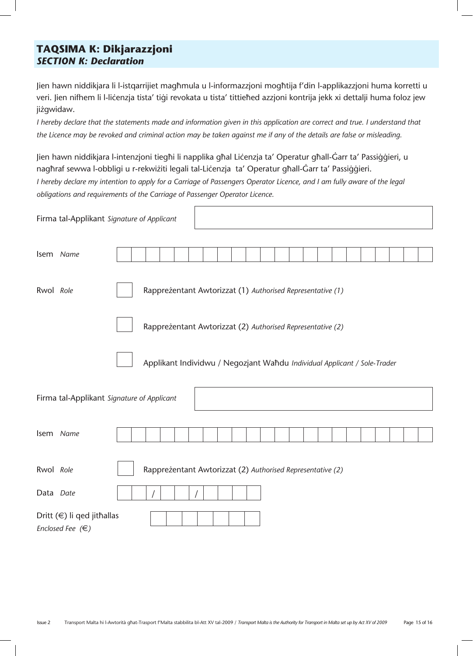# **TAQSIMA K: Dikjarazzjoni**  *SECTION K: Declaration*

Jien hawn niddikjara li l-istqarrijiet magħmula u l-informazzjoni mogħtija f'din l-applikazzjoni huma korretti u veri. Jien nifhem li l-lićenzja tista' tiqi revokata u tista' tittieħed azzjoni kontrija jekk xi dettalji huma foloz jew jiżgwidaw.

*I* hereby declare that the statements made and information given in this application are correct and true. I understand that *the Licence may be revoked and criminal action may be taken against me if any of the details are false or misleading.*

Jien hawn niddikjara l-intenzjoni tiegħi li napplika għal Liċenzja ta' Operatur għall-Ġarr ta' Passiġġieri, u naghraf sewwa l-obbligi u r-rekwiżiti legali tal-Lićenzja ta' Operatur ghall-Ġarr ta' Passiġġieri.

*I hereby declare my intention to apply for a Carriage of Passengers Operator Licence, and I am fully aware of the legal obligations and requirements of the Carriage of Passenger Operator Licence.*

| Firma tal-Applikant Signature of Applicant |                                                                          |                                                            |                                                            |                                                            |  |  |  |  |  |  |  |  |  |  |  |  |  |  |  |
|--------------------------------------------|--------------------------------------------------------------------------|------------------------------------------------------------|------------------------------------------------------------|------------------------------------------------------------|--|--|--|--|--|--|--|--|--|--|--|--|--|--|--|
|                                            | Isem Name                                                                |                                                            |                                                            |                                                            |  |  |  |  |  |  |  |  |  |  |  |  |  |  |  |
| Rwol Role                                  |                                                                          |                                                            | Rappreżentant Awtorizzat (1) Authorised Representative (1) |                                                            |  |  |  |  |  |  |  |  |  |  |  |  |  |  |  |
|                                            |                                                                          | Rappreżentant Awtorizzat (2) Authorised Representative (2) |                                                            |                                                            |  |  |  |  |  |  |  |  |  |  |  |  |  |  |  |
|                                            | Applikant Individwu / Negozjant Waħdu Individual Applicant / Sole-Trader |                                                            |                                                            |                                                            |  |  |  |  |  |  |  |  |  |  |  |  |  |  |  |
|                                            | Firma tal-Applikant Signature of Applicant                               |                                                            |                                                            |                                                            |  |  |  |  |  |  |  |  |  |  |  |  |  |  |  |
|                                            | Isem Name                                                                |                                                            |                                                            |                                                            |  |  |  |  |  |  |  |  |  |  |  |  |  |  |  |
| Rwol Role                                  |                                                                          |                                                            |                                                            | Rappreżentant Awtorizzat (2) Authorised Representative (2) |  |  |  |  |  |  |  |  |  |  |  |  |  |  |  |
| Data Date                                  |                                                                          |                                                            |                                                            |                                                            |  |  |  |  |  |  |  |  |  |  |  |  |  |  |  |
|                                            | Dritt (€) li qed jitħallas<br>Enclosed Fee $(\in)$                       |                                                            |                                                            |                                                            |  |  |  |  |  |  |  |  |  |  |  |  |  |  |  |